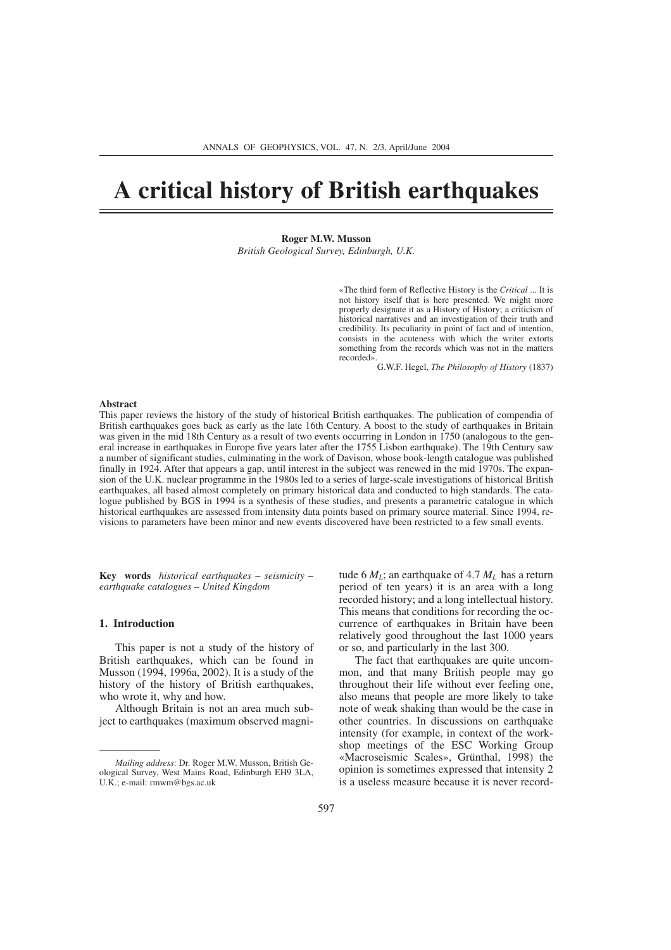# **A critical history of British earthquakes**

**Roger M.W. Musson** *British Geological Survey, Edinburgh, U.K.*

> «The third form of Reflective History is the *Critical* ... It is not history itself that is here presented. We might more properly designate it as a History of History; a criticism of historical narratives and an investigation of their truth and credibility. Its peculiarity in point of fact and of intention, consists in the acuteness with which the writer extorts something from the records which was not in the matters recorded».

> > G.W.F. Hegel, *The Philosophy of History* (1837)

#### **Abstract**

This paper reviews the history of the study of historical British earthquakes. The publication of compendia of British earthquakes goes back as early as the late 16th Century. A boost to the study of earthquakes in Britain was given in the mid 18th Century as a result of two events occurring in London in 1750 (analogous to the general increase in earthquakes in Europe five years later after the 1755 Lisbon earthquake). The 19th Century saw a number of significant studies, culminating in the work of Davison, whose book-length catalogue was published finally in 1924. After that appears a gap, until interest in the subject was renewed in the mid 1970s. The expansion of the U.K. nuclear programme in the 1980s led to a series of large-scale investigations of historical British earthquakes, all based almost completely on primary historical data and conducted to high standards. The catalogue published by BGS in 1994 is a synthesis of these studies, and presents a parametric catalogue in which historical earthquakes are assessed from intensity data points based on primary source material. Since 1994, revisions to parameters have been minor and new events discovered have been restricted to a few small events.

**Key words** *historical earthquakes – seismicity – earthquake catalogues – United Kingdom*

#### **1. Introduction**

This paper is not a study of the history of British earthquakes, which can be found in Musson (1994, 1996a, 2002). It is a study of the history of the history of British earthquakes, who wrote it, why and how.

Although Britain is not an area much subject to earthquakes (maximum observed magnitude 6  $M_L$ ; an earthquake of 4.7  $M_L$  has a return period of ten years) it is an area with a long recorded history; and a long intellectual history. This means that conditions for recording the occurrence of earthquakes in Britain have been relatively good throughout the last 1000 years or so, and particularly in the last 300.

The fact that earthquakes are quite uncommon, and that many British people may go throughout their life without ever feeling one, also means that people are more likely to take note of weak shaking than would be the case in other countries. In discussions on earthquake intensity (for example, in context of the workshop meetings of the ESC Working Group «Macroseismic Scales», Grünthal, 1998) the opinion is sometimes expressed that intensity 2 is a useless measure because it is never record-

*Mailing address*: Dr. Roger M.W. Musson, British Geological Survey, West Mains Road, Edinburgh EH9 3LA, U.K.; e-mail: rmwm@bgs.ac.uk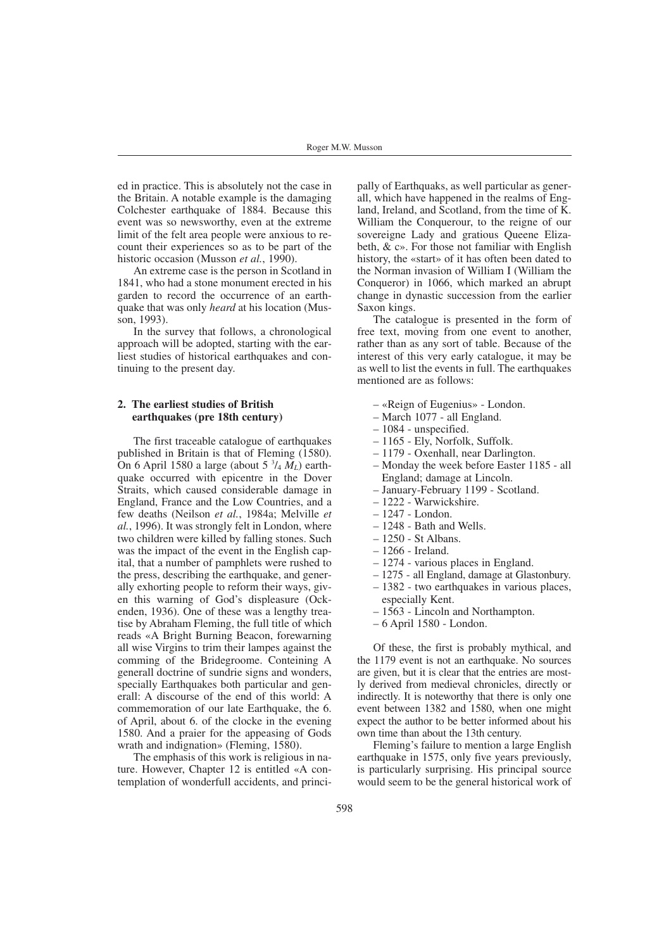ed in practice. This is absolutely not the case in the Britain. A notable example is the damaging Colchester earthquake of 1884. Because this event was so newsworthy, even at the extreme limit of the felt area people were anxious to recount their experiences so as to be part of the historic occasion (Musson *et al.*, 1990).

An extreme case is the person in Scotland in 1841, who had a stone monument erected in his garden to record the occurrence of an earthquake that was only *heard* at his location (Musson, 1993).

In the survey that follows, a chronological approach will be adopted, starting with the earliest studies of historical earthquakes and continuing to the present day.

## **2. The earliest studies of British earthquakes (pre 18th century)**

The first traceable catalogue of earthquakes published in Britain is that of Fleming (1580). On 6 April 1580 a large (about 5 3 /4 *ML*) earthquake occurred with epicentre in the Dover Straits, which caused considerable damage in England, France and the Low Countries, and a few deaths (Neilson *et al.*, 1984a; Melville *et al.*, 1996). It was strongly felt in London, where two children were killed by falling stones. Such was the impact of the event in the English capital, that a number of pamphlets were rushed to the press, describing the earthquake, and generally exhorting people to reform their ways, given this warning of God's displeasure (Ockenden, 1936). One of these was a lengthy treatise by Abraham Fleming, the full title of which reads «A Bright Burning Beacon, forewarning all wise Virgins to trim their lampes against the comming of the Bridegroome. Conteining A generall doctrine of sundrie signs and wonders, specially Earthquakes both particular and generall: A discourse of the end of this world: A commemoration of our late Earthquake, the 6. of April, about 6. of the clocke in the evening 1580. And a praier for the appeasing of Gods wrath and indignation» (Fleming, 1580).

The emphasis of this work is religious in nature. However, Chapter 12 is entitled «A contemplation of wonderfull accidents, and principally of Earthquaks, as well particular as generall, which have happened in the realms of England, Ireland, and Scotland, from the time of K. William the Conquerour, to the reigne of our sovereigne Lady and gratious Queene Elizabeth, & c». For those not familiar with English history, the «start» of it has often been dated to the Norman invasion of William I (William the Conqueror) in 1066, which marked an abrupt change in dynastic succession from the earlier Saxon kings.

The catalogue is presented in the form of free text, moving from one event to another, rather than as any sort of table. Because of the interest of this very early catalogue, it may be as well to list the events in full. The earthquakes mentioned are as follows:

- «Reign of Eugenius» London.
- March 1077 all England.
- 1084 unspecified.
- 1165 Ely, Norfolk, Suffolk.
- 1179 Oxenhall, near Darlington.
- Monday the week before Easter 1185 all England; damage at Lincoln.
- January-February 1199 Scotland.
- 1222 Warwickshire.
- 1247 London.
- 1248 Bath and Wells.
- 1250 St Albans.
- 1266 Ireland.
- 1274 various places in England.
- 1275 all England, damage at Glastonbury.
- 1382 two earthquakes in various places, especially Kent.
- 1563 Lincoln and Northampton.
- 6 April 1580 London.
- 

Of these, the first is probably mythical, and the 1179 event is not an earthquake. No sources are given, but it is clear that the entries are mostly derived from medieval chronicles, directly or indirectly. It is noteworthy that there is only one event between 1382 and 1580, when one might expect the author to be better informed about his own time than about the 13th century.

Fleming's failure to mention a large English earthquake in 1575, only five years previously, is particularly surprising. His principal source would seem to be the general historical work of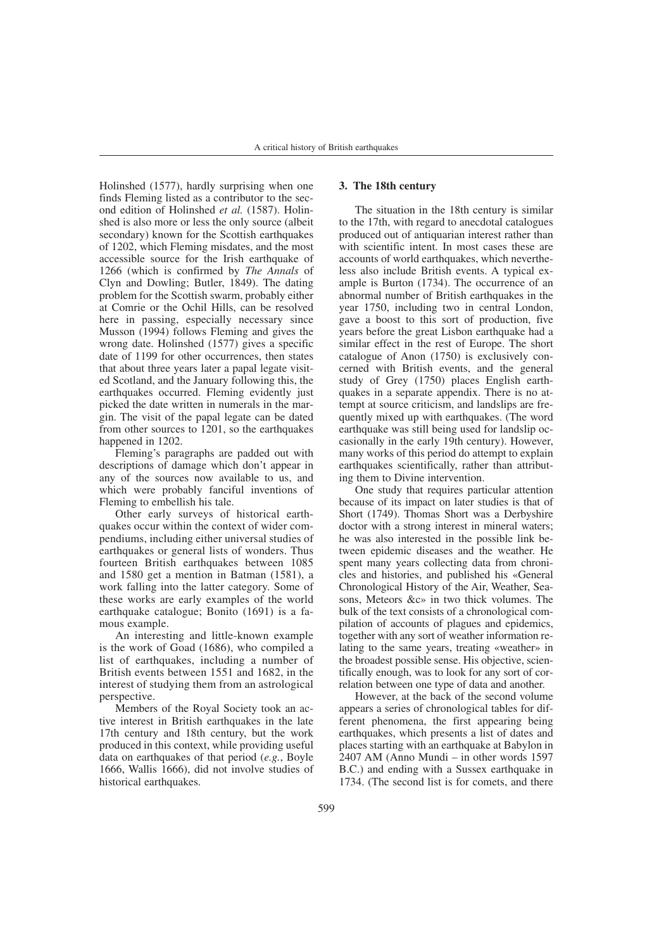Holinshed (1577), hardly surprising when one finds Fleming listed as a contributor to the second edition of Holinshed *et al.* (1587). Holinshed is also more or less the only source (albeit secondary) known for the Scottish earthquakes of 1202, which Fleming misdates, and the most accessible source for the Irish earthquake of 1266 (which is confirmed by *The Annals* of Clyn and Dowling; Butler, 1849). The dating problem for the Scottish swarm, probably either at Comrie or the Ochil Hills, can be resolved here in passing, especially necessary since Musson (1994) follows Fleming and gives the wrong date. Holinshed (1577) gives a specific date of 1199 for other occurrences, then states that about three years later a papal legate visited Scotland, and the January following this, the earthquakes occurred. Fleming evidently just picked the date written in numerals in the margin. The visit of the papal legate can be dated from other sources to 1201, so the earthquakes happened in 1202.

Fleming's paragraphs are padded out with descriptions of damage which don't appear in any of the sources now available to us, and which were probably fanciful inventions of Fleming to embellish his tale.

Other early surveys of historical earthquakes occur within the context of wider compendiums, including either universal studies of earthquakes or general lists of wonders. Thus fourteen British earthquakes between 1085 and 1580 get a mention in Batman (1581), a work falling into the latter category. Some of these works are early examples of the world earthquake catalogue; Bonito (1691) is a famous example.

An interesting and little-known example is the work of Goad (1686), who compiled a list of earthquakes, including a number of British events between 1551 and 1682, in the interest of studying them from an astrological perspective.

Members of the Royal Society took an active interest in British earthquakes in the late 17th century and 18th century, but the work produced in this context, while providing useful data on earthquakes of that period (*e.g.*, Boyle 1666, Wallis 1666), did not involve studies of historical earthquakes.

#### **3. The 18th century**

The situation in the 18th century is similar to the 17th, with regard to anecdotal catalogues produced out of antiquarian interest rather than with scientific intent. In most cases these are accounts of world earthquakes, which nevertheless also include British events. A typical example is Burton (1734). The occurrence of an abnormal number of British earthquakes in the year 1750, including two in central London, gave a boost to this sort of production, five years before the great Lisbon earthquake had a similar effect in the rest of Europe. The short catalogue of Anon (1750) is exclusively concerned with British events, and the general study of Grey (1750) places English earthquakes in a separate appendix. There is no attempt at source criticism, and landslips are frequently mixed up with earthquakes. (The word earthquake was still being used for landslip occasionally in the early 19th century). However, many works of this period do attempt to explain earthquakes scientifically, rather than attributing them to Divine intervention.

One study that requires particular attention because of its impact on later studies is that of Short (1749). Thomas Short was a Derbyshire doctor with a strong interest in mineral waters; he was also interested in the possible link between epidemic diseases and the weather. He spent many years collecting data from chronicles and histories, and published his «General Chronological History of the Air, Weather, Seasons, Meteors &c» in two thick volumes. The bulk of the text consists of a chronological compilation of accounts of plagues and epidemics, together with any sort of weather information relating to the same years, treating «weather» in the broadest possible sense. His objective, scientifically enough, was to look for any sort of correlation between one type of data and another.

However, at the back of the second volume appears a series of chronological tables for different phenomena, the first appearing being earthquakes, which presents a list of dates and places starting with an earthquake at Babylon in 2407 AM (Anno Mundi – in other words 1597 B.C.) and ending with a Sussex earthquake in 1734. (The second list is for comets, and there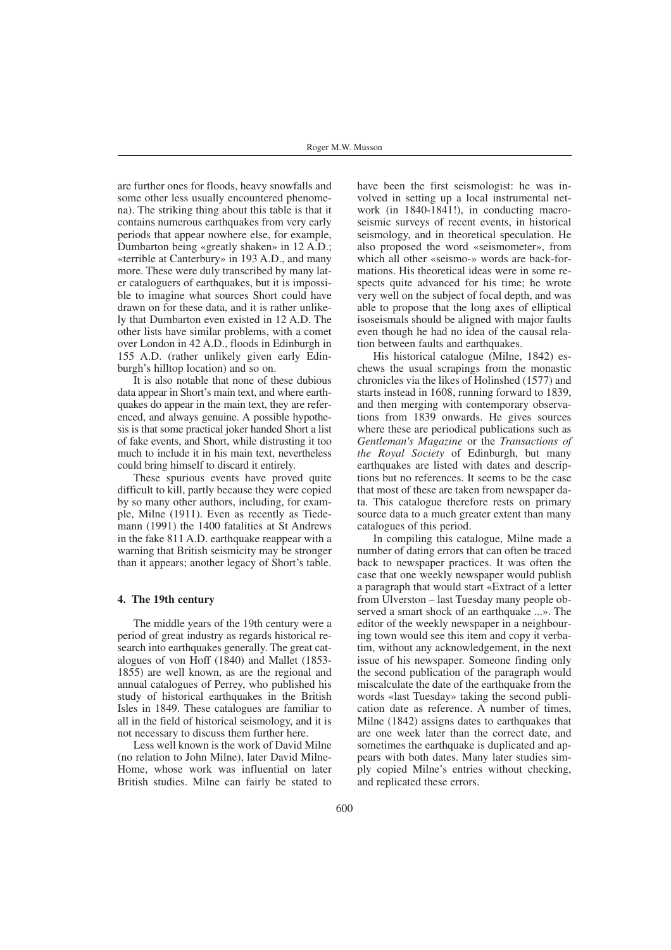are further ones for floods, heavy snowfalls and some other less usually encountered phenomena). The striking thing about this table is that it contains numerous earthquakes from very early periods that appear nowhere else, for example, Dumbarton being «greatly shaken» in 12 A.D.; «terrible at Canterbury» in 193 A.D., and many more. These were duly transcribed by many later cataloguers of earthquakes, but it is impossible to imagine what sources Short could have drawn on for these data, and it is rather unlikely that Dumbarton even existed in 12 A.D. The other lists have similar problems, with a comet over London in 42 A.D., floods in Edinburgh in 155 A.D. (rather unlikely given early Edinburgh's hilltop location) and so on.

It is also notable that none of these dubious data appear in Short's main text, and where earthquakes do appear in the main text, they are referenced, and always genuine. A possible hypothesis is that some practical joker handed Short a list of fake events, and Short, while distrusting it too much to include it in his main text, nevertheless could bring himself to discard it entirely.

These spurious events have proved quite difficult to kill, partly because they were copied by so many other authors, including, for example, Milne (1911). Even as recently as Tiedemann (1991) the 1400 fatalities at St Andrews in the fake 811 A.D. earthquake reappear with a warning that British seismicity may be stronger than it appears; another legacy of Short's table.

## **4. The 19th century**

The middle years of the 19th century were a period of great industry as regards historical research into earthquakes generally. The great catalogues of von Hoff (1840) and Mallet (1853- 1855) are well known, as are the regional and annual catalogues of Perrey, who published his study of historical earthquakes in the British Isles in 1849. These catalogues are familiar to all in the field of historical seismology, and it is not necessary to discuss them further here.

Less well known is the work of David Milne (no relation to John Milne), later David Milne-Home, whose work was influential on later British studies. Milne can fairly be stated to

have been the first seismologist: he was involved in setting up a local instrumental network (in 1840-1841!), in conducting macroseismic surveys of recent events, in historical seismology, and in theoretical speculation. He also proposed the word «seismometer», from which all other «seismo-» words are back-formations. His theoretical ideas were in some respects quite advanced for his time; he wrote very well on the subject of focal depth, and was able to propose that the long axes of elliptical isoseismals should be aligned with major faults even though he had no idea of the causal relation between faults and earthquakes.

His historical catalogue (Milne, 1842) eschews the usual scrapings from the monastic chronicles via the likes of Holinshed (1577) and starts instead in 1608, running forward to 1839, and then merging with contemporary observations from 1839 onwards. He gives sources where these are periodical publications such as *Gentleman's Magazine* or the *Transactions of the Royal Society* of Edinburgh, but many earthquakes are listed with dates and descriptions but no references. It seems to be the case that most of these are taken from newspaper data. This catalogue therefore rests on primary source data to a much greater extent than many catalogues of this period.

In compiling this catalogue, Milne made a number of dating errors that can often be traced back to newspaper practices. It was often the case that one weekly newspaper would publish a paragraph that would start «Extract of a letter from Ulverston – last Tuesday many people observed a smart shock of an earthquake ...». The editor of the weekly newspaper in a neighbouring town would see this item and copy it verbatim, without any acknowledgement, in the next issue of his newspaper. Someone finding only the second publication of the paragraph would miscalculate the date of the earthquake from the words «last Tuesday» taking the second publication date as reference. A number of times, Milne (1842) assigns dates to earthquakes that are one week later than the correct date, and sometimes the earthquake is duplicated and appears with both dates. Many later studies simply copied Milne's entries without checking, and replicated these errors.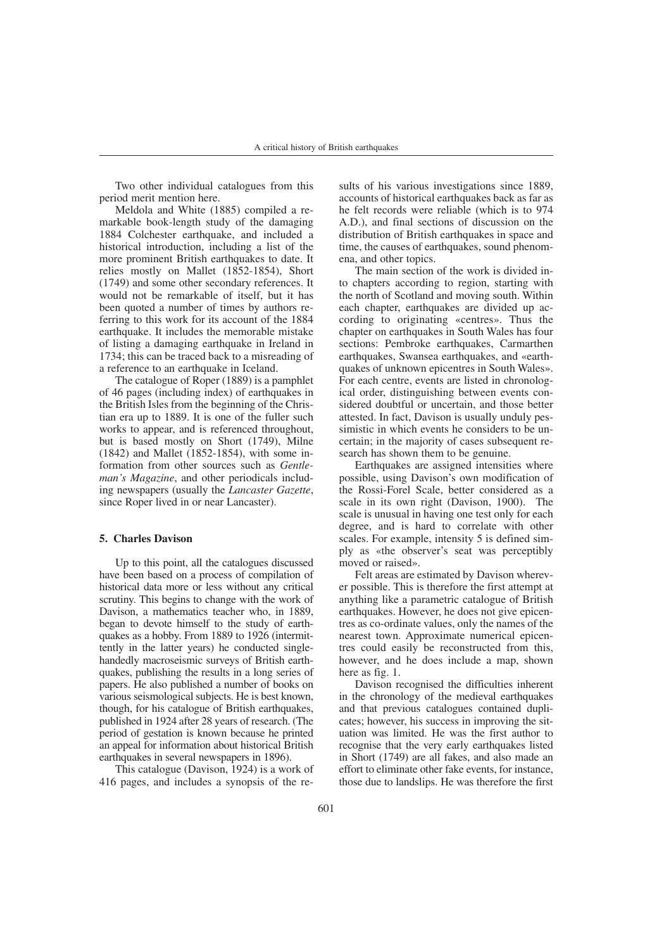Two other individual catalogues from this period merit mention here.

Meldola and White (1885) compiled a remarkable book-length study of the damaging 1884 Colchester earthquake, and included a historical introduction, including a list of the more prominent British earthquakes to date. It relies mostly on Mallet (1852-1854), Short (1749) and some other secondary references. It would not be remarkable of itself, but it has been quoted a number of times by authors referring to this work for its account of the 1884 earthquake. It includes the memorable mistake of listing a damaging earthquake in Ireland in 1734; this can be traced back to a misreading of a reference to an earthquake in Iceland.

The catalogue of Roper (1889) is a pamphlet of 46 pages (including index) of earthquakes in the British Isles from the beginning of the Christian era up to 1889. It is one of the fuller such works to appear, and is referenced throughout, but is based mostly on Short (1749), Milne (1842) and Mallet (1852-1854), with some information from other sources such as *Gentleman's Magazine*, and other periodicals including newspapers (usually the *Lancaster Gazette*, since Roper lived in or near Lancaster).

## **5. Charles Davison**

Up to this point, all the catalogues discussed have been based on a process of compilation of historical data more or less without any critical scrutiny. This begins to change with the work of Davison, a mathematics teacher who, in 1889, began to devote himself to the study of earthquakes as a hobby. From 1889 to 1926 (intermittently in the latter years) he conducted singlehandedly macroseismic surveys of British earthquakes, publishing the results in a long series of papers. He also published a number of books on various seismological subjects. He is best known, though, for his catalogue of British earthquakes, published in 1924 after 28 years of research. (The period of gestation is known because he printed an appeal for information about historical British earthquakes in several newspapers in 1896).

This catalogue (Davison, 1924) is a work of 416 pages, and includes a synopsis of the results of his various investigations since 1889, accounts of historical earthquakes back as far as he felt records were reliable (which is to 974 A.D.), and final sections of discussion on the distribution of British earthquakes in space and time, the causes of earthquakes, sound phenomena, and other topics.

The main section of the work is divided into chapters according to region, starting with the north of Scotland and moving south. Within each chapter, earthquakes are divided up according to originating «centres». Thus the chapter on earthquakes in South Wales has four sections: Pembroke earthquakes, Carmarthen earthquakes, Swansea earthquakes, and «earthquakes of unknown epicentres in South Wales». For each centre, events are listed in chronological order, distinguishing between events considered doubtful or uncertain, and those better attested. In fact, Davison is usually unduly pessimistic in which events he considers to be uncertain; in the majority of cases subsequent research has shown them to be genuine.

Earthquakes are assigned intensities where possible, using Davison's own modification of the Rossi-Forel Scale, better considered as a scale in its own right (Davison, 1900). The scale is unusual in having one test only for each degree, and is hard to correlate with other scales. For example, intensity 5 is defined simply as «the observer's seat was perceptibly moved or raised».

Felt areas are estimated by Davison wherever possible. This is therefore the first attempt at anything like a parametric catalogue of British earthquakes. However, he does not give epicentres as co-ordinate values, only the names of the nearest town. Approximate numerical epicentres could easily be reconstructed from this, however, and he does include a map, shown here as fig. 1.

Davison recognised the difficulties inherent in the chronology of the medieval earthquakes and that previous catalogues contained duplicates; however, his success in improving the situation was limited. He was the first author to recognise that the very early earthquakes listed in Short (1749) are all fakes, and also made an effort to eliminate other fake events, for instance, those due to landslips. He was therefore the first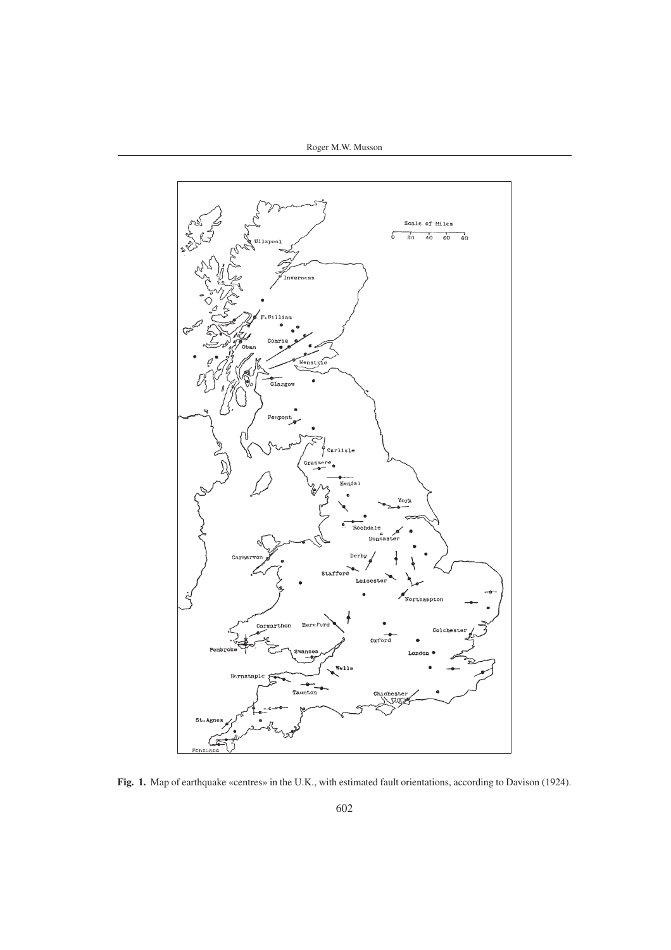Roger M.W. Musson



**Fig. 1.** Map of earthquake «centres» in the U.K., with estimated fault orientations, according to Davison (1924).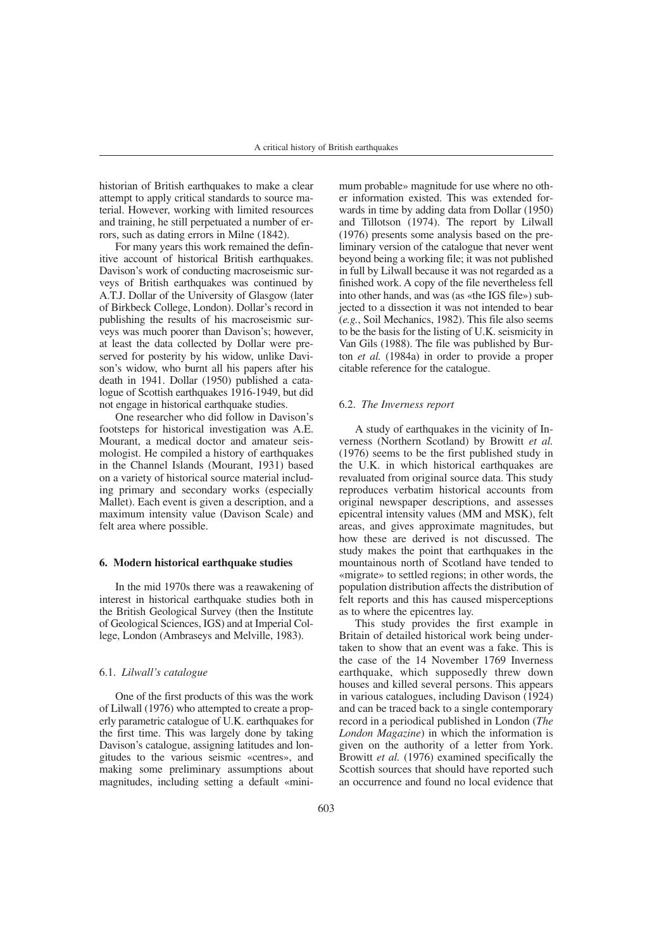historian of British earthquakes to make a clear attempt to apply critical standards to source material. However, working with limited resources and training, he still perpetuated a number of errors, such as dating errors in Milne (1842).

For many years this work remained the definitive account of historical British earthquakes. Davison's work of conducting macroseismic surveys of British earthquakes was continued by A.T.J. Dollar of the University of Glasgow (later of Birkbeck College, London). Dollar's record in publishing the results of his macroseismic surveys was much poorer than Davison's; however, at least the data collected by Dollar were preserved for posterity by his widow, unlike Davison's widow, who burnt all his papers after his death in 1941. Dollar (1950) published a catalogue of Scottish earthquakes 1916-1949, but did not engage in historical earthquake studies.

One researcher who did follow in Davison's footsteps for historical investigation was A.E. Mourant, a medical doctor and amateur seismologist. He compiled a history of earthquakes in the Channel Islands (Mourant, 1931) based on a variety of historical source material including primary and secondary works (especially Mallet). Each event is given a description, and a maximum intensity value (Davison Scale) and felt area where possible.

#### **6. Modern historical earthquake studies**

In the mid 1970s there was a reawakening of interest in historical earthquake studies both in the British Geological Survey (then the Institute of Geological Sciences, IGS) and at Imperial College, London (Ambraseys and Melville, 1983).

## 6.1. *Lilwall's catalogue*

One of the first products of this was the work of Lilwall (1976) who attempted to create a properly parametric catalogue of U.K. earthquakes for the first time. This was largely done by taking Davison's catalogue, assigning latitudes and longitudes to the various seismic «centres», and making some preliminary assumptions about magnitudes, including setting a default «minimum probable» magnitude for use where no other information existed. This was extended forwards in time by adding data from Dollar (1950) and Tillotson (1974). The report by Lilwall (1976) presents some analysis based on the preliminary version of the catalogue that never went beyond being a working file; it was not published in full by Lilwall because it was not regarded as a finished work. A copy of the file nevertheless fell into other hands, and was (as «the IGS file») subjected to a dissection it was not intended to bear (*e.g.*, Soil Mechanics, 1982). This file also seems to be the basis for the listing of U.K. seismicity in Van Gils (1988). The file was published by Burton *et al.* (1984a) in order to provide a proper citable reference for the catalogue.

#### 6.2. *The Inverness report*

A study of earthquakes in the vicinity of Inverness (Northern Scotland) by Browitt *et al.* (1976) seems to be the first published study in the U.K. in which historical earthquakes are revaluated from original source data. This study reproduces verbatim historical accounts from original newspaper descriptions, and assesses epicentral intensity values (MM and MSK), felt areas, and gives approximate magnitudes, but how these are derived is not discussed. The study makes the point that earthquakes in the mountainous north of Scotland have tended to «migrate» to settled regions; in other words, the population distribution affects the distribution of felt reports and this has caused misperceptions as to where the epicentres lay.

This study provides the first example in Britain of detailed historical work being undertaken to show that an event was a fake. This is the case of the 14 November 1769 Inverness earthquake, which supposedly threw down houses and killed several persons. This appears in various catalogues, including Davison (1924) and can be traced back to a single contemporary record in a periodical published in London (*The London Magazine*) in which the information is given on the authority of a letter from York. Browitt *et al.* (1976) examined specifically the Scottish sources that should have reported such an occurrence and found no local evidence that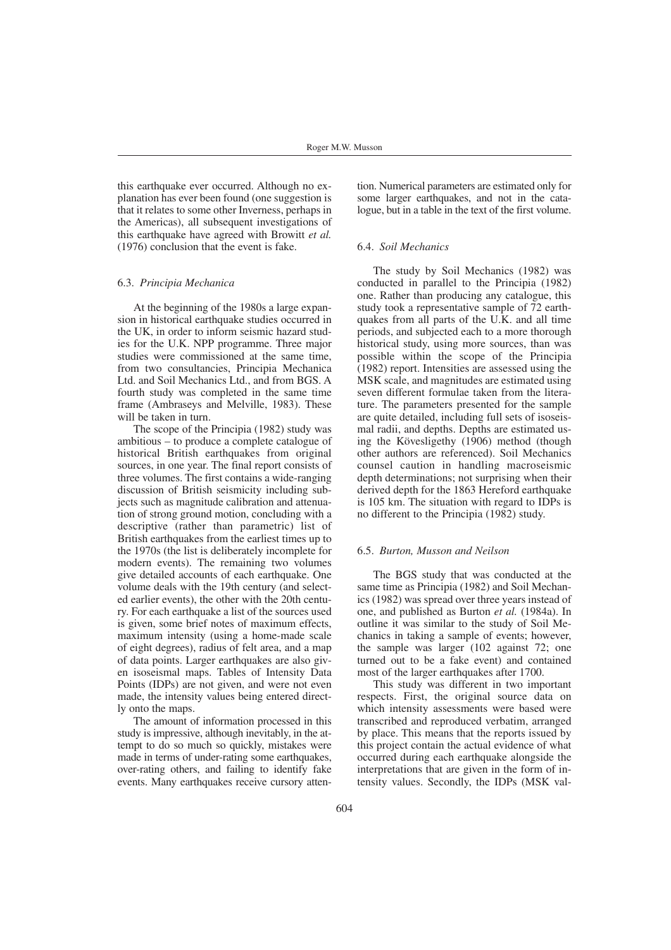this earthquake ever occurred. Although no explanation has ever been found (one suggestion is that it relates to some other Inverness, perhaps in the Americas), all subsequent investigations of this earthquake have agreed with Browitt *et al.* (1976) conclusion that the event is fake.

#### 6.3. *Principia Mechanica*

At the beginning of the 1980s a large expansion in historical earthquake studies occurred in the UK, in order to inform seismic hazard studies for the U.K. NPP programme. Three major studies were commissioned at the same time, from two consultancies, Principia Mechanica Ltd. and Soil Mechanics Ltd., and from BGS. A fourth study was completed in the same time frame (Ambraseys and Melville, 1983). These will be taken in turn.

The scope of the Principia (1982) study was ambitious – to produce a complete catalogue of historical British earthquakes from original sources, in one year. The final report consists of three volumes. The first contains a wide-ranging discussion of British seismicity including subjects such as magnitude calibration and attenuation of strong ground motion, concluding with a descriptive (rather than parametric) list of British earthquakes from the earliest times up to the 1970s (the list is deliberately incomplete for modern events). The remaining two volumes give detailed accounts of each earthquake. One volume deals with the 19th century (and selected earlier events), the other with the 20th century. For each earthquake a list of the sources used is given, some brief notes of maximum effects, maximum intensity (using a home-made scale of eight degrees), radius of felt area, and a map of data points. Larger earthquakes are also given isoseismal maps. Tables of Intensity Data Points (IDPs) are not given, and were not even made, the intensity values being entered directly onto the maps.

The amount of information processed in this study is impressive, although inevitably, in the attempt to do so much so quickly, mistakes were made in terms of under-rating some earthquakes, over-rating others, and failing to identify fake events. Many earthquakes receive cursory atten-

tion. Numerical parameters are estimated only for some larger earthquakes, and not in the catalogue, but in a table in the text of the first volume.

## 6.4. *Soil Mechanics*

The study by Soil Mechanics (1982) was conducted in parallel to the Principia (1982) one. Rather than producing any catalogue, this study took a representative sample of 72 earthquakes from all parts of the U.K. and all time periods, and subjected each to a more thorough historical study, using more sources, than was possible within the scope of the Principia (1982) report. Intensities are assessed using the MSK scale, and magnitudes are estimated using seven different formulae taken from the literature. The parameters presented for the sample are quite detailed, including full sets of isoseismal radii, and depths. Depths are estimated using the Kövesligethy (1906) method (though other authors are referenced). Soil Mechanics counsel caution in handling macroseismic depth determinations; not surprising when their derived depth for the 1863 Hereford earthquake is 105 km. The situation with regard to IDPs is no different to the Principia (1982) study.

#### 6.5. *Burton, Musson and Neilson*

The BGS study that was conducted at the same time as Principia (1982) and Soil Mechanics (1982) was spread over three years instead of one, and published as Burton *et al.* (1984a). In outline it was similar to the study of Soil Mechanics in taking a sample of events; however, the sample was larger (102 against 72; one turned out to be a fake event) and contained most of the larger earthquakes after 1700.

This study was different in two important respects. First, the original source data on which intensity assessments were based were transcribed and reproduced verbatim, arranged by place. This means that the reports issued by this project contain the actual evidence of what occurred during each earthquake alongside the interpretations that are given in the form of intensity values. Secondly, the IDPs (MSK val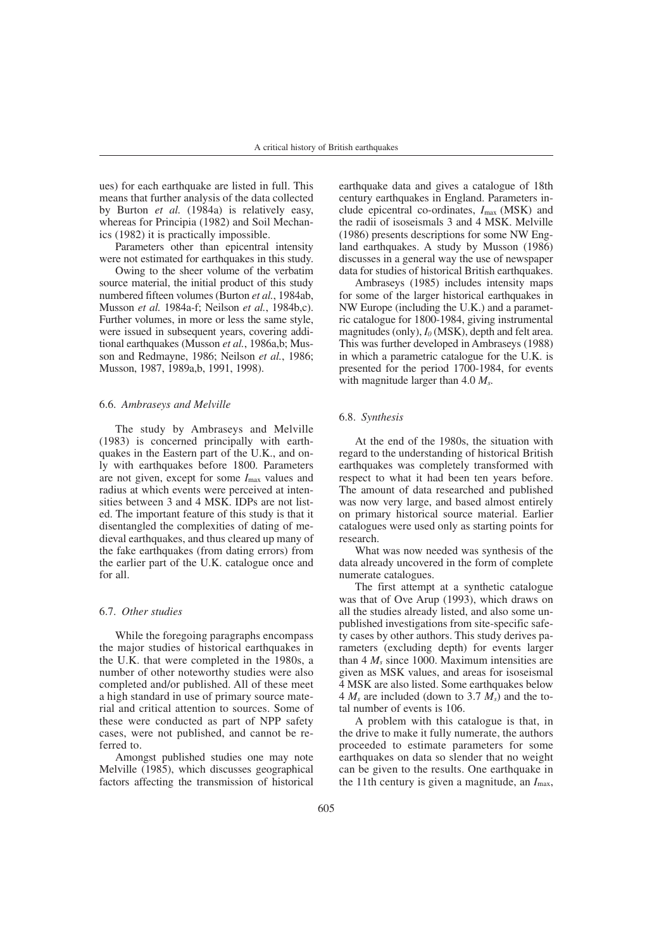ues) for each earthquake are listed in full. This means that further analysis of the data collected by Burton *et al.* (1984a) is relatively easy, whereas for Principia (1982) and Soil Mechanics (1982) it is practically impossible.

Parameters other than epicentral intensity were not estimated for earthquakes in this study.

Owing to the sheer volume of the verbatim source material, the initial product of this study numbered fifteen volumes (Burton *et al.*, 1984ab, Musson *et al.* 1984a-f; Neilson *et al.*, 1984b,c). Further volumes, in more or less the same style, were issued in subsequent years, covering additional earthquakes (Musson *et al.*, 1986a,b; Musson and Redmayne, 1986; Neilson *et al.*, 1986; Musson, 1987, 1989a,b, 1991, 1998).

#### 6.6. *Ambraseys and Melville*

The study by Ambraseys and Melville (1983) is concerned principally with earthquakes in the Eastern part of the U.K., and only with earthquakes before 1800. Parameters are not given, except for some  $I_{\text{max}}$  values and radius at which events were perceived at intensities between 3 and 4 MSK. IDPs are not listed. The important feature of this study is that it disentangled the complexities of dating of medieval earthquakes, and thus cleared up many of the fake earthquakes (from dating errors) from the earlier part of the U.K. catalogue once and for all.

#### 6.7. *Other studies*

While the foregoing paragraphs encompass the major studies of historical earthquakes in the U.K. that were completed in the 1980s, a number of other noteworthy studies were also completed and/or published. All of these meet a high standard in use of primary source material and critical attention to sources. Some of these were conducted as part of NPP safety cases, were not published, and cannot be referred to.

Amongst published studies one may note Melville (1985), which discusses geographical factors affecting the transmission of historical earthquake data and gives a catalogue of 18th century earthquakes in England. Parameters include epicentral co-ordinates, *I*max (MSK) and the radii of isoseismals 3 and 4 MSK. Melville (1986) presents descriptions for some NW England earthquakes. A study by Musson (1986) discusses in a general way the use of newspaper data for studies of historical British earthquakes.

Ambraseys (1985) includes intensity maps for some of the larger historical earthquakes in NW Europe (including the U.K.) and a parametric catalogue for 1800-1984, giving instrumental magnitudes (only),  $I_0$  (MSK), depth and felt area. This was further developed in Ambraseys (1988) in which a parametric catalogue for the U.K. is presented for the period 1700-1984, for events with magnitude larger than 4.0 *Ms*.

#### 6.8. *Synthesis*

At the end of the 1980s, the situation with regard to the understanding of historical British earthquakes was completely transformed with respect to what it had been ten years before. The amount of data researched and published was now very large, and based almost entirely on primary historical source material. Earlier catalogues were used only as starting points for research.

What was now needed was synthesis of the data already uncovered in the form of complete numerate catalogues.

The first attempt at a synthetic catalogue was that of Ove Arup (1993), which draws on all the studies already listed, and also some unpublished investigations from site-specific safety cases by other authors. This study derives parameters (excluding depth) for events larger than 4 *Ms* since 1000. Maximum intensities are given as MSK values, and areas for isoseismal 4 MSK are also listed. Some earthquakes below  $4 M_s$  are included (down to 3.7  $\overline{M_s}$ ) and the total number of events is 106.

A problem with this catalogue is that, in the drive to make it fully numerate, the authors proceeded to estimate parameters for some earthquakes on data so slender that no weight can be given to the results. One earthquake in the 11th century is given a magnitude, an *I*max,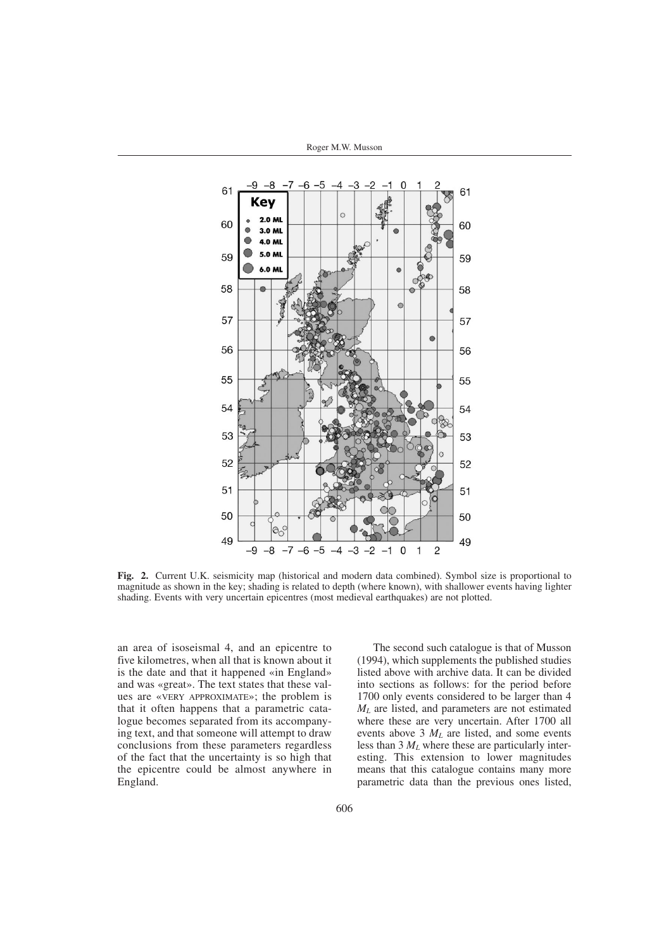

**Fig. 2.** Current U.K. seismicity map (historical and modern data combined). Symbol size is proportional to magnitude as shown in the key; shading is related to depth (where known), with shallower events having lighter shading. Events with very uncertain epicentres (most medieval earthquakes) are not plotted.

an area of isoseismal 4, and an epicentre to five kilometres, when all that is known about it is the date and that it happened «in England» and was «great». The text states that these values are «VERY APPROXIMATE»; the problem is that it often happens that a parametric catalogue becomes separated from its accompanying text, and that someone will attempt to draw conclusions from these parameters regardless of the fact that the uncertainty is so high that the epicentre could be almost anywhere in England.

The second such catalogue is that of Musson (1994), which supplements the published studies listed above with archive data. It can be divided into sections as follows: for the period before 1700 only events considered to be larger than 4 *ML* are listed, and parameters are not estimated where these are very uncertain. After 1700 all events above 3 *ML* are listed, and some events less than 3 *ML* where these are particularly interesting. This extension to lower magnitudes means that this catalogue contains many more parametric data than the previous ones listed,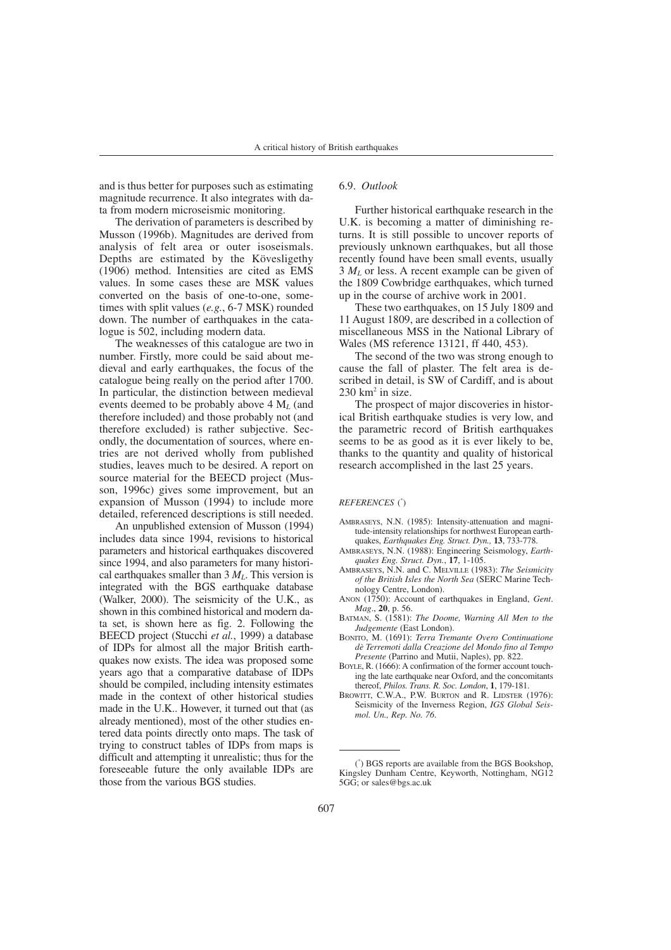and is thus better for purposes such as estimating magnitude recurrence. It also integrates with data from modern microseismic monitoring.

The derivation of parameters is described by Musson (1996b). Magnitudes are derived from analysis of felt area or outer isoseismals. Depths are estimated by the Kövesligethy (1906) method. Intensities are cited as EMS values. In some cases these are MSK values converted on the basis of one-to-one, sometimes with split values (*e.g.*, 6-7 MSK) rounded down. The number of earthquakes in the catalogue is 502, including modern data.

The weaknesses of this catalogue are two in number. Firstly, more could be said about medieval and early earthquakes, the focus of the catalogue being really on the period after 1700. In particular, the distinction between medieval events deemed to be probably above 4 M*<sup>L</sup>* (and therefore included) and those probably not (and therefore excluded) is rather subjective. Secondly, the documentation of sources, where entries are not derived wholly from published studies, leaves much to be desired. A report on source material for the BEECD project (Musson, 1996c) gives some improvement, but an expansion of Musson (1994) to include more detailed, referenced descriptions is still needed.

An unpublished extension of Musson (1994) includes data since 1994, revisions to historical parameters and historical earthquakes discovered since 1994, and also parameters for many historical earthquakes smaller than  $3 M<sub>L</sub>$ . This version is integrated with the BGS earthquake database (Walker, 2000). The seismicity of the U.K., as shown in this combined historical and modern data set, is shown here as fig. 2. Following the BEECD project (Stucchi *et al.*, 1999) a database of IDPs for almost all the major British earthquakes now exists. The idea was proposed some years ago that a comparative database of IDPs should be compiled, including intensity estimates made in the context of other historical studies made in the U.K.. However, it turned out that (as already mentioned), most of the other studies entered data points directly onto maps. The task of trying to construct tables of IDPs from maps is difficult and attempting it unrealistic; thus for the foreseeable future the only available IDPs are those from the various BGS studies.

#### 6.9. *Outlook*

Further historical earthquake research in the U.K. is becoming a matter of diminishing returns. It is still possible to uncover reports of previously unknown earthquakes, but all those recently found have been small events, usually  $3 M<sub>L</sub>$  or less. A recent example can be given of the 1809 Cowbridge earthquakes, which turned up in the course of archive work in 2001.

These two earthquakes, on 15 July 1809 and 11 August 1809, are described in a collection of miscellaneous MSS in the National Library of Wales (MS reference 13121, ff 440, 453).

The second of the two was strong enough to cause the fall of plaster. The felt area is described in detail, is SW of Cardiff, and is about  $230 \text{ km}^2$  in size.

The prospect of major discoveries in historical British earthquake studies is very low, and the parametric record of British earthquakes seems to be as good as it is ever likely to be, thanks to the quantity and quality of historical research accomplished in the last 25 years.

#### *REFERENCES* ( \* )

- AMBRASEYS, N.N. (1985): Intensity-attenuation and magnitude-intensity relationships for northwest European earthquakes, *Earthquakes Eng. Struct. Dyn.,* **13**, 733-778.
- AMBRASEYS, N.N. (1988): Engineering Seismology, *Earthquakes Eng. Struct. Dyn.*, **17**, 1-105.
- AMBRASEYS, N.N. and C. MELVILLE (1983): *The Seismicity of the British Isles the North Sea* (SERC Marine Technology Centre, London).
- ANON (1750): Account of earthquakes in England, *Gent*. *Mag*., **20**, p. 56.
- BATMAN, S. (1581): *The Doome, Warning All Men to the Judgemente* (East London).
- BONITO, M. (1691): *Terra Tremante Overo Continuatione dè Terremoti dalla Creazione del Mondo fino al Tempo Presente* (Parrino and Mutii, Naples), pp. 822.
- BOYLE, R. (1666): A confirmation of the former account touching the late earthquake near Oxford, and the concomitants thereof, *Philos. Trans. R. Soc. London*, **1**, 179-181.
- BROWITT, C.W.A., P.W. BURTON and R. LIDSTER (1976): Seismicity of the Inverness Region, *IGS Global Seismol. Un., Rep. No. 76*.

<sup>(</sup> \* ) BGS reports are available from the BGS Bookshop, Kingsley Dunham Centre, Keyworth, Nottingham, NG12 5GG; or sales@bgs.ac.uk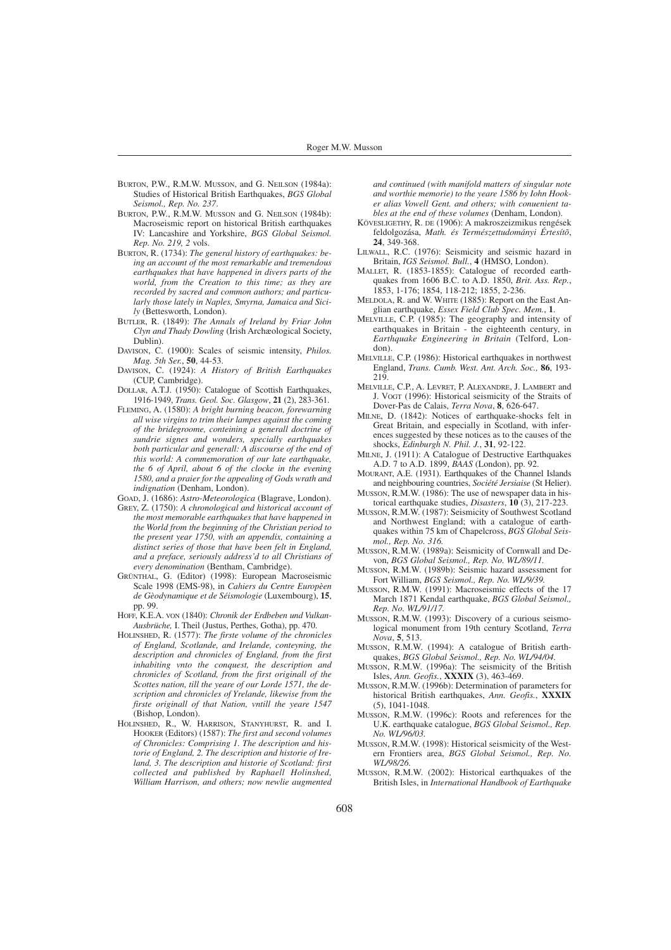- BURTON, P.W., R.M.W. MUSSON, and G. NEILSON (1984a): Studies of Historical British Earthquakes, *BGS Global Seismol., Rep. No. 237*.
- BURTON, P.W., R.M.W. MUSSON and G. NEILSON (1984b): Macroseismic report on historical British earthquakes IV: Lancashire and Yorkshire, *BGS Global Seismol. Rep. No. 219, 2* vols.
- BURTON, R. (1734): *The general history of earthquakes: being an account of the most remarkable and tremendous earthquakes that have happened in divers parts of the world, from the Creation to this time; as they are recorded by sacred and common authors; and particularly those lately in Naples, Smyrna, Jamaica and Sicily* (Bettesworth, London).
- BUTLER, R. (1849): *The Annals of Ireland by Friar John Clyn and Thady Dowling* (Irish Archæological Society, Dublin).
- DAVISON, C. (1900): Scales of seismic intensity, *Philos. Mag. 5th Ser.*, **50**, 44-53.
- DAVISON, C. (1924): *A History of British Earthquakes* (CUP, Cambridge).
- DOLLAR, A.T.J. (1950): Catalogue of Scottish Earthquakes, 1916-1949, *Trans. Geol. Soc. Glasgow*, **21** (2), 283-361.
- FLEMING, A. (1580): *A bright burning beacon, forewarning all wise virgins to trim their lampes against the coming of the bridegroome, conteining a generall doctrine of sundrie signes and wonders, specially earthquakes both particular and generall: A discourse of the end of this world: A commemoration of our late earthquake, the 6 of April, about 6 of the clocke in the evening 1580, and a praier for the appealing of Gods wrath and indignation* (Denham, London).
- GOAD, J. (1686): *Astro-Meteorologica* (Blagrave, London).
- GREY, Z. (1750): *A chronological and historical account of the most memorable earthquakes that have happened in the World from the beginning of the Christian period to the present year 1750, with an appendix, containing a distinct series of those that have been felt in England, and a preface, seriously address'd to all Christians of every denomination* (Bentham, Cambridge).
- GRÜNTHAL, G. (Editor) (1998): European Macroseismic Scale 1998 (EMS-98), in *Cahiers du Centre Europèen de Gèodynamique et de Séismologie* (Luxembourg), **15**, pp. 99.
- HOFF, K.E.A. VON (1840): *Chronik der Erdbeben und Vulkan-Ausbrüche,* I. Theil (Justus, Perthes, Gotha), pp. 470.
- HOLINSHED, R. (1577): *The firste volume of the chronicles of England, Scotlande, and Irelande, conteyning, the description and chronicles of England, from the first inhabiting vnto the conquest, the description and chronicles of Scotland, from the first originall of the Scottes nation, till the yeare of our Lorde 1571, the description and chronicles of Yrelande, likewise from the firste originall of that Nation, vntill the yeare 1547* (Bishop, London).
- HOLINSHED, R., W. HARRISON, STANYHURST, R. and I. HOOKER (Editors) (1587): *The first and second volumes of Chronicles: Comprising 1. The description and historie of England, 2. The description and historie of Ireland, 3. The description and historie of Scotland: first collected and published by Raphaell Holinshed, William Harrison, and others; now newlie augmented*

*and continued (with manifold matters of singular note and worthie memorie) to the yeare 1586 by Iohn Hooker alias Vowell Gent. and others; with conuenient tables at the end of these volumes* (Denham, London).

- KÖVESLIGETHY, R. DE (1906): A makroszeizmikus rengések feldolgozása, *Math. és Természettudományi Értesítõ*, **24**, 349-368.
- LILWALL, R.C. (1976): Seismicity and seismic hazard in Britain, *IGS Seismol. Bull.*, **4** (HMSO, London).
- MALLET, R. (1853-1855): Catalogue of recorded earthquakes from 1606 B.C. to A.D. 1850, *Brit. Ass. Rep.*, 1853, 1-176; 1854, 118-212; 1855, 2-236.
- MELDOLA, R. and W. WHITE (1885): Report on the East Anglian earthquake, *Essex Field Club Spec. Mem.*, **1**.
- MELVILLE, C.P. (1985): The geography and intensity of earthquakes in Britain - the eighteenth century, in *Earthquake Engineering in Britain* (Telford, London).
- MELVILLE, C.P. (1986): Historical earthquakes in northwest England, *Trans. Cumb. West. Ant. Arch. Soc.,* **86**, 193- 219.
- MELVILLE, C.P., A. LEVRET, P. ALEXANDRE, J. LAMBERT and J. VOGT (1996): Historical seismicity of the Straits of Dover-Pas de Calais, *Terra Nova*, **8**, 626-647.
- MILNE, D. (1842): Notices of earthquake-shocks felt in Great Britain, and especially in Scotland, with inferences suggested by these notices as to the causes of the shocks, *Edinburgh N. Phil. J.*, **31**, 92-122.
- MILNE, J. (1911): A Catalogue of Destructive Earthquakes A.D. 7 to A.D. 1899, *BAAS* (London), pp. 92.
- MOURANT, A.E. (1931). Earthquakes of the Channel Islands and neighbouring countries, *Société Jersiaise* (St Helier).
- MUSSON, R.M.W. (1986): The use of newspaper data in historical earthquake studies, *Disasters*, **10** (3), 217-223.
- MUSSON, R.M.W. (1987): Seismicity of Southwest Scotland and Northwest England; with a catalogue of earthquakes within 75 km of Chapelcross, *BGS Global Seismol., Rep. No. 316.*
- MUSSON, R.M.W. (1989a): Seismicity of Cornwall and Devon, *BGS Global Seismol., Rep. No. WL/89/11.*
- MUSSON, R.M.W. (1989b): Seismic hazard assessment for Fort William, *BGS Seismol., Rep. No. WL/9/39.*
- MUSSON, R.M.W. (1991): Macroseismic effects of the 17 March 1871 Kendal earthquake, *BGS Global Seismol., Rep. No. WL/91/17.*
- MUSSON, R.M.W. (1993): Discovery of a curious seismological monument from 19th century Scotland, *Terra Nova*, **5**, 513.
- MUSSON, R.M.W. (1994): A catalogue of British earthquakes, *BGS Global Seismol., Rep. No. WL/94/04.*
- MUSSON, R.M.W. (1996a): The seismicity of the British Isles, *Ann. Geofis.*, **XXXIX** (3), 463-469.
- MUSSON, R.M.W. (1996b): Determination of parameters for historical British earthquakes, *Ann. Geofis.*, **XXXIX** (5), 1041-1048.
- MUSSON, R.M.W. (1996c): Roots and references for the U.K. earthquake catalogue, *BGS Global Seismol., Rep. No. WL/96/03.*
- MUSSON, R.M.W. (1998): Historical seismicity of the Western Frontiers area, *BGS Global Seismol., Rep. No. WL/98/26.*
- MUSSON, R.M.W. (2002): Historical earthquakes of the British Isles, in *International Handbook of Earthquake*